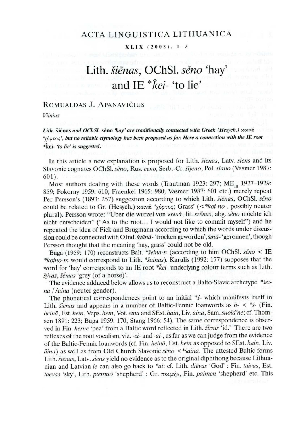## ACTA LINGUISTICA LITHUANICA

## $X LIX (2003), 1-3$

# Lith. siénas, OChSI. séno 'hay' and IE \*kei- 'to lie'

## ROMUALDAS J. APANAVIČIUS

Vilnius

Lith. Šiěnas and OChSI. sěno 'hay' are traditionally connected with Greek (Hesych.)  $x_0$ wá. 'oot0<', but no reliable etymology has been proposed as far. Here a connection with the IE root \*kei- 'to lie' is suggested.

In this article a new explanation is proposed for Lith. Siénas, Latv. siens and its Slavonic cognates OChSl. sěno, Rus. сено, Serb.-Cr. šijeno, Pol. siano (Vasmer 1987: 601).

Most authors dealing with these words (Trautman 1923: 297;  $ME_{\text{m}}$  1927-1929: 859; Pokorny 1959: 610; Fraenkel 1965: 980; Vasmer 1987: 601 etc.) merely repeat Per Persson's (1893: 257) suggestion according to which Lith. šienas, OChSl. seno could be related to Gr. (Hesych.) κοινά 'χόρτος; Grass' (<\* koi-no-, possibly neuter plural). Persson wrote: "Über die wurzel von xowá, lit. szenas, abg. seno möchte ich nicht entscheiden" ("As to the root... I would not like to commit myself") and he repeated the idea of Fick and Brugmann according to which the words under discussion could be connected with OInd. syaná-'trocken geworden', siná-'geronnen', though Persson thought that the meaning 'hay, grass' could not be old.

Būga (1959: 170) reconstructs Balt. \* šeina-n (according to him OChSl. seno < IE \*koino-m would correspond to Lith. \*Sainas). Karulis (1992: 177) supposes that the word for 'hay' corresponds to an IE root \*kei- underlying colour terms such as Lith. Syvas, Sémas 'grey (of a horse)'.

The evidence adduced below allows us to reconstruct a Balto-Slavic archetype \*seina / saina (neuter gender).

The phonetical correspondences point to an initial \*s- which manifests itself in Lith. *šienas* and appears in a number of Baltic-Fennic loanwords as  $h - <$  \*5- (Fin. heinä, Est. hein, Veps. hein, Vot. einä and SEst. hain, Liv. äina, Sam. suoid'ne; cf. Thomsen 1891: 223; Būga 1959: 170; Stang 1966: 54). The same correspondence is observed in Fin. herne 'pea' from a Baltic word reflected in Lith. žirnis 'id.' There are two reflexes of the root vocalism, viz. -ei- and -ai-, as far as we can judge from the evidence of the Baltic-Fennic loanwords (cf. Fin. heinä, Est. hein as opposed to SEst. hain, Liv. dina) as well as from Old Church Slavonic seno <\* saina. The attested Baltic forms Lith. šiėnas, Latv. siens yield no evidence as to the original diphthong because Lithuanian and Latvian ie can also go back to \*ai: cf. Lith. diévas 'God' : Fin. taivas, Est. taevas 'sky', Lith. piemuõ 'shepherd' : Gr. ποιμήν, Fin. paimen 'shepherd' etc. This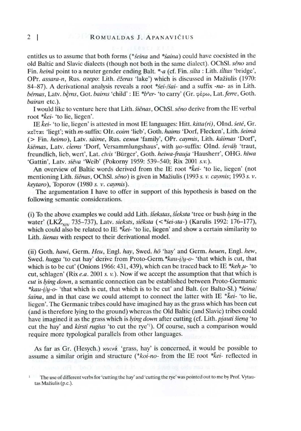entitles us to assume that both forms (\*seina and \*saina) could have coexisted in the old Baltic and Slavic dialects (though not both in the same dialect). OChSI. séno and Fin. heinä point to a neuter gender ending Balt. \*-a (cf. Fin. silta : Lith. tiltas 'bridge', OPr. assara-n, Rus. o3epo: Lith. ežeras 'lake') which is discussed in Mažiulis (1970: 84-87). A derivational analysis reveals a root \*sei-/sai- and a suffix -na- as in Lith. bérnas, Latv. bèrns, Got. bairns 'child' : IE \*b\*er- 'to carry' (Gr.  $\phi \epsilon_{\text{PO}}$ , Lat. ferre, Goth. bairan etc.).

I would like to venture here that Lith. šienas, OChSl. seno derive from the IE verbal root \*kei- 'to lie, liegen'.

IE kei- 'to lie, liegen' is attested in most IE languages: Hitt.  $kitta(n)$ , OInd.  $sete$ , Gr. xeitat 'liegt'; with m-suffix: OIr. coim 'lieb', Goth. haims 'Dorf, Flecken', Lith. šeimà (> Fin. heimo), Latv. saime, Rus. cemea 'family', OPr. caymis, Lith. kdimas 'Dorf', kiēmas, Latv. ciems 'Dorf, Versammlungshaus', with uo-suffix: OInd. seváh 'traut, freundlich, lieb, wert', Lat. civis "Biirger', Goth. heiwa-frauja 'Hausherr', OHG. hiwa 'Gattin', Latv. siéva 'Weib' (Pokorny 1959: 539-540; Rix 2001 s.v.).

An overview of Baltic words derived from the IE root  $*kei$ - 'to lie, liegen' (not mentioning Lith. šienas, OChSl. seno) is given in Mažiulis (1993 s. v. caymis; 1993 s. v. keytaro), Toporov (1980 s. v. caymis).

The argumentation I have to offer in support of this hypothesis is based on the following semantic considerations.

(i) To the above examples we could add Lith. Siekstas, Sieksta 'tree or bush lying in the water' (LKŽ<sub>xIV</sub> 735-737), Latv. sieksts, siéksta (<\*sei-sta-) (Karulis 1992: 176-177), which could also be related to IE \*kei- 'to lie, liegen' and show a certain similarity to Lith. *šienas* with respect to their derivational model.

(ii) Goth. hawi, Germ. Heu, Engl. hay, Swed. hö 'hay' and Germ. heuen, Engl. hew, Swed. hugga 'to cut hay' derive from Proto-Germ.  $*kau-i/u$ - $o-$  'that which is cut, that which is to be cut' (Onions 1966: 431, 439), which can be traced back to IE \*keh  $\mu$ - 'to cut, schlagen' (Rix e.a. 2001 s. v.). Now if we accept the assumption that that which is cut is lying down, a semantic connection can be established between Proto-Germanic \*kau- $i/\psi$ -o- 'that which is cut, that which is to be cut' and Balt. (or Balto-Sl.) \*seina/  $saina$ , and in that case we could attempt to connect the latter with IE  $*kei$ - 'to lie, liegen'. The Germanic tribes could have imagined hay as the grass which has been cut (and is therefore lying to the ground) whereas the Old Baltic (and Slavic) tribes could have imagined it as the grass which is lying down after cutting (cf. Lith. pjauti šieną 'to cut the hay' and Kirsti rugius 'to cut the rye'!). Of course, such a comparison would require more typological parallels from other languages.

As far as Gr. (Hesych.) xorvá 'grass, hay' is concerned, it would be possible to assume a similar origin and structure (\* $koi$ -no- from the IE root \* $kei$ - reflected in

<sup>&#</sup>x27; The use of different verbs for 'cutting the hay' and 'cutting the rye' was pointed out to me by Prof. Vytautas Maziulis (p.c.).